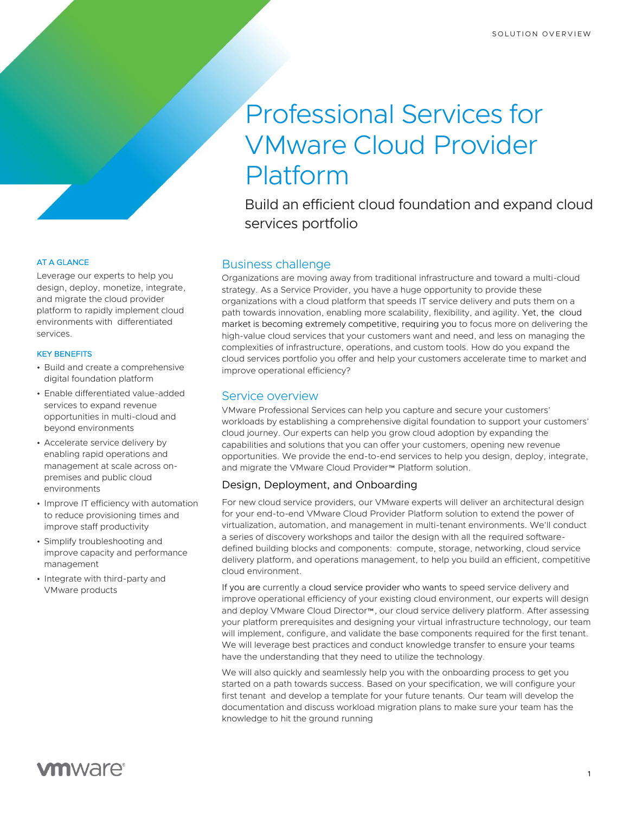# Professional Services for VMware Cloud Provider Platform

Build an efficient cloud foundation and expand cloud services portfolio

# Business challenge

Organizations are moving away from traditional infrastructure and toward a multi-cloud strategy. As a Service Provider, you have a huge opportunity to provide these organizations with a cloud platform that speeds IT service delivery and puts them on a path towards innovation, enabling more scalability, flexibility, and agility. Yet, the cloud market is becoming extremely competitive, requiring you to focus more on delivering the high-value cloud services that your customers want and need, and less on managing the complexities of infrastructure, operations, and custom tools. How do you expand the cloud services portfolio you offer and help your customers accelerate time to market and improve operational efficiency?

# Service overview

VMware Professional Services can help you capture and secure your customers' workloads by establishing a comprehensive digital foundation to support your customers' cloud journey. Our experts can help you grow cloud adoption by expanding the capabilities and solutions that you can offer your customers, opening new revenue opportunities. We provide the end-to-end services to help you design, deploy, integrate, and migrate the VMware Cloud Provider™ Platform solution.

# Design, Deployment, and Onboarding

For new cloud service providers, our VMware experts will deliver an architectural design for your end-to-end VMware Cloud Provider Platform solution to extend the power of virtualization, automation, and management in multi-tenant environments. We'll conduct a series of discovery workshops and tailor the design with all the required softwaredefined building blocks and components: compute, storage, networking, cloud service delivery platform, and operations management, to help you build an efficient, competitive cloud environment.

If you are currently a cloud service provider who wants to speed service delivery and improve operational efficiency of your existing cloud environment, our experts will design and deploy VMware Cloud Director™, our cloud service delivery platform. After assessing your platform prerequisites and designing your virtual infrastructure technology, our team will implement, configure, and validate the base components required for the first tenant. We will leverage best practices and conduct knowledge transfer to ensure your teams have the understanding that they need to utilize the technology.

We will also quickly and seamlessly help you with the onboarding process to get you started on a path towards success. Based on your specification, we will configure your first tenant and develop a template for your future tenants. Our team will develop the documentation and discuss workload migration plans to make sure your team has the knowledge to hit the ground running

# AT A GLANCE

Leverage our experts to help you design, deploy, monetize, integrate, and migrate the cloud provider platform to rapidly implement cloud environments with differentiated services.

## KEY BENEFITS

- Build and create a comprehensive digital foundation platform
- Enable differentiated value-added services to expand revenue opportunities in multi-cloud and beyond environments
- Accelerate service delivery by enabling rapid operations and management at scale across onpremises and public cloud environments
- Improve IT efficiency with automation to reduce provisioning times and improve staff productivity
- Simplify troubleshooting and improve capacity and performance management
- Integrate with third-party and VMware products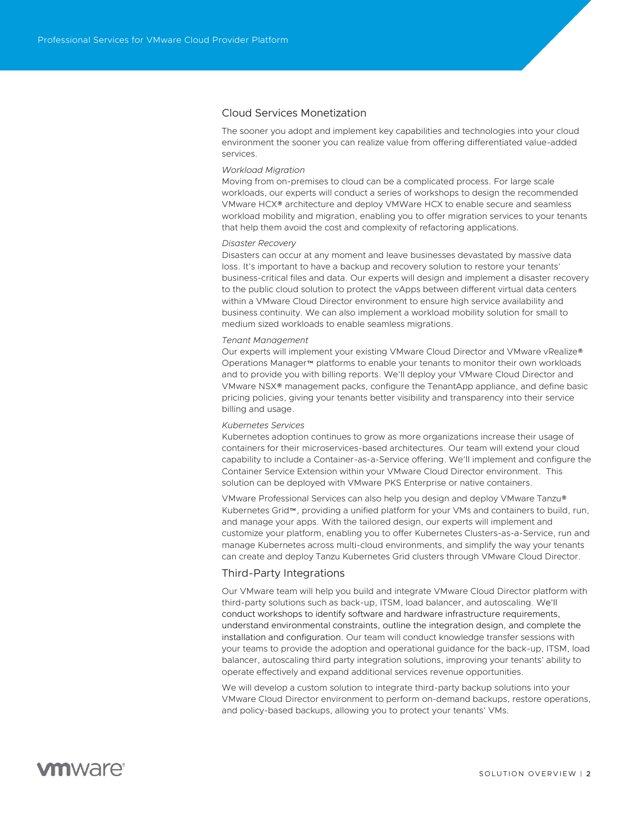# Cloud Services Monetization

The sooner you adopt and implement key capabilities and technologies into your cloud environment the sooner you can realize value from offering differentiated value-added services.

#### *Workload Migration*

Moving from on-premises to cloud can be a complicated process. For large scale workloads, our experts will conduct a series of workshops to design the recommended VMware HCX® architecture and deploy VMWare HCX to enable secure and seamless workload mobility and migration, enabling you to offer migration services to your tenants that help them avoid the cost and complexity of refactoring applications.

#### *Disaster Recovery*

Disasters can occur at any moment and leave businesses devastated by massive data loss. It's important to have a backup and recovery solution to restore your tenants' business-critical files and data. Our experts will design and implement a disaster recovery to the public cloud solution to protect the vApps between different virtual data centers within a VMware Cloud Director environment to ensure high service availability and business continuity. We can also implement a workload mobility solution for small to medium sized workloads to enable seamless migrations.

#### *Tenant Management*

Our experts will implement your existing VMware Cloud Director and VMware vRealize® Operations Manager™ platforms to enable your tenants to monitor their own workloads and to provide you with billing reports. We'll deploy your VMware Cloud Director and VMware NSX® management packs, configure the TenantApp appliance, and define basic pricing policies, giving your tenants better visibility and transparency into their service billing and usage.

#### *Kubernetes Services*

Kubernetes adoption continues to grow as more organizations increase their usage of containers for their microservices-based architectures. Our team will extend your cloud capability to include a Container-as-a-Service offering. We'll implement and configure the Container Service Extension within your VMware Cloud Director environment. This solution can be deployed with VMware PKS Enterprise or native containers.

VMware Professional Services can also help you design and deploy VMware Tanzu® Kubernetes Grid™, providing a unified platform for your VMs and containers to build, run, and manage your apps. With the tailored design, our experts will implement and customize your platform, enabling you to offer Kubernetes Clusters-as-a-Service, run and manage Kubernetes across multi-cloud environments, and simplify the way your tenants can create and deploy Tanzu Kubernetes Grid clusters through VMware Cloud Director.

### Third-Party Integrations

Our VMware team will help you build and integrate VMware Cloud Director platform with third-party solutions such as back-up, ITSM, load balancer, and autoscaling. We'll conduct workshops to identify software and hardware infrastructure requirements, understand environmental constraints, outline the integration design, and complete the installation and configuration. Our team will conduct knowledge transfer sessions with your teams to provide the adoption and operational guidance for the back-up, ITSM, load balancer, autoscaling third party integration solutions, improving your tenants' ability to operate effectively and expand additional services revenue opportunities.

We will develop a custom solution to integrate third-party backup solutions into your VMware Cloud Director environment to perform on-demand backups, restore operations, and policy-based backups, allowing you to protect your tenants' VMs.